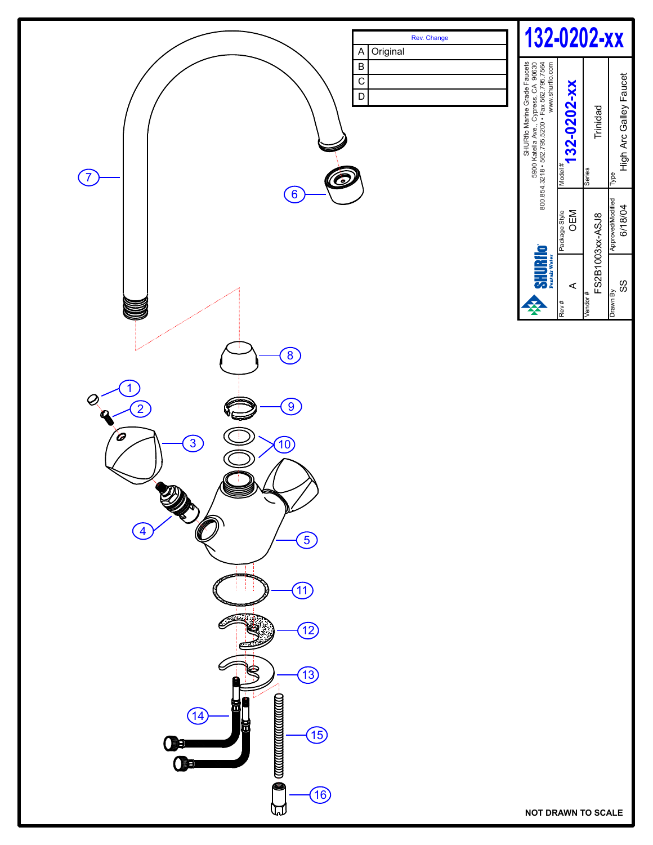